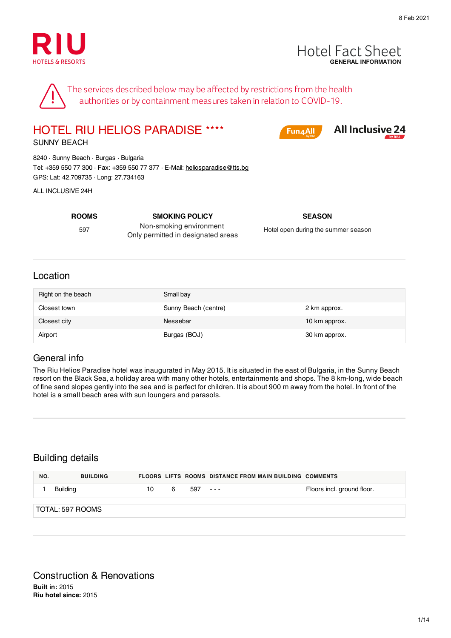



The services described below may be affected by restrictions from the health authorities or by containment measures taken in relation to COVID-19.

HOTEL RIU HELIOS PARADISE ★★★★

Fun4All

**All Inclusive 24** 

SUNNY BEACH

8240 · Sunny Beach · Burgas · Bulgaria Tel: +359 550 77 300 · Fax: +359 550 77 377 · E-Mail: heliosparadise@tts.bg GPS: Lat: 42.709735 · Long: 27.734163

ALL INCLUSIVE 24H

597

**ROOMS SMOKING POLICY SEASON** Non-smoking environment Only permitted in designated areas

Hotel open during the summer season

#### Location

| Right on the beach | Small bay            |               |
|--------------------|----------------------|---------------|
| Closest town       | Sunny Beach (centre) | 2 km approx.  |
| Closest city       | Nessebar             | 10 km approx. |
| Airport            | Burgas (BOJ)         | 30 km approx. |

#### General info

The Riu Helios Paradise hotel was inaugurated in May 2015. It is situated in the east of Bulgaria, in the Sunny Beach resort on the Black Sea, a holiday area with many other hotels, entertainments and shops. The 8 km-long, wide beach of fine sand slopes gently into the sea and is perfect for children. It is about 900 m away from the hotel. In front of the hotel is a small beach area with sun loungers and parasols.

#### Building details

| NO. | <b>BUILDING</b>   |    |   |         | <b>FLOORS LIFTS ROOMS DISTANCE FROM MAIN BUILDING COMMENTS</b> |                            |
|-----|-------------------|----|---|---------|----------------------------------------------------------------|----------------------------|
|     | Building          | 10 | 6 | 597 --- |                                                                | Floors incl. ground floor. |
|     | ੈTOTAL: 597 ROOMS |    |   |         |                                                                |                            |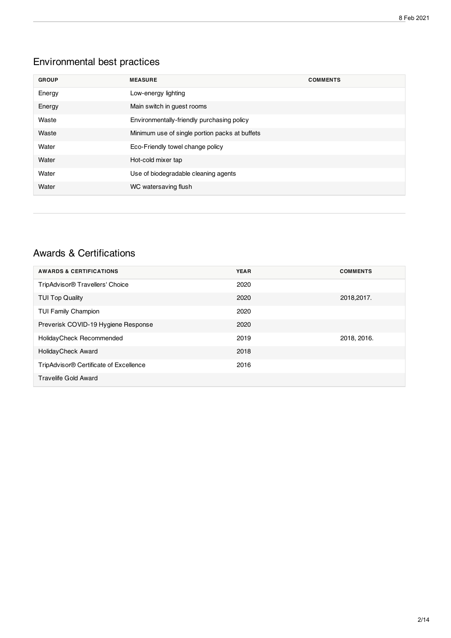# Environmental best practices

| <b>GROUP</b> | <b>MEASURE</b>                                 | <b>COMMENTS</b> |
|--------------|------------------------------------------------|-----------------|
| Energy       | Low-energy lighting                            |                 |
| Energy       | Main switch in guest rooms                     |                 |
| Waste        | Environmentally-friendly purchasing policy     |                 |
| Waste        | Minimum use of single portion packs at buffets |                 |
| Water        | Eco-Friendly towel change policy               |                 |
| Water        | Hot-cold mixer tap                             |                 |
| Water        | Use of biodegradable cleaning agents           |                 |
| Water        | WC watersaving flush                           |                 |

#### Awards & Certifications

| <b>AWARDS &amp; CERTIFICATIONS</b>                 | <b>YEAR</b> | <b>COMMENTS</b> |
|----------------------------------------------------|-------------|-----------------|
| TripAdvisor <sup>®</sup> Travellers' Choice        | 2020        |                 |
| <b>TUI Top Quality</b>                             | 2020        | 2018,2017.      |
| <b>TUI Family Champion</b>                         | 2020        |                 |
| Preverisk COVID-19 Hygiene Response                | 2020        |                 |
| Holiday Check Recommended                          | 2019        | 2018, 2016.     |
| Holiday Check Award                                | 2018        |                 |
| TripAdvisor <sup>®</sup> Certificate of Excellence | 2016        |                 |
| Travelife Gold Award                               |             |                 |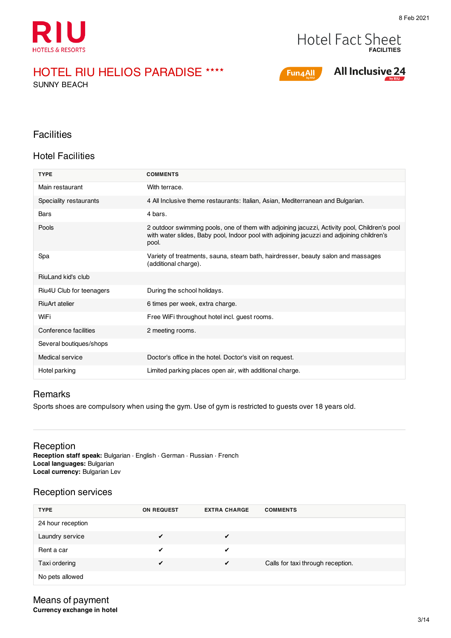



SUNNY BEACH



# **All Inclusive 24**

#### **Facilities**

#### Hotel Facilities

| <b>TYPE</b>              | <b>COMMENTS</b>                                                                                                                                                                                    |
|--------------------------|----------------------------------------------------------------------------------------------------------------------------------------------------------------------------------------------------|
| Main restaurant          | With terrace.                                                                                                                                                                                      |
| Speciality restaurants   | 4 All Inclusive theme restaurants: Italian, Asian, Mediterranean and Bulgarian.                                                                                                                    |
| Bars                     | 4 bars.                                                                                                                                                                                            |
| Pools                    | 2 outdoor swimming pools, one of them with adjoining jacuzzi, Activity pool, Children's pool<br>with water slides, Baby pool, Indoor pool with adjoining jacuzzi and adjoining children's<br>pool. |
| Spa                      | Variety of treatments, sauna, steam bath, hairdresser, beauty salon and massages<br>(additional charge).                                                                                           |
| RiuLand kid's club       |                                                                                                                                                                                                    |
| Riu4U Club for teenagers | During the school holidays.                                                                                                                                                                        |
| <b>RiuArt atelier</b>    | 6 times per week, extra charge.                                                                                                                                                                    |
| WiFi                     | Free WiFi throughout hotel incl. guest rooms.                                                                                                                                                      |
| Conference facilities    | 2 meeting rooms.                                                                                                                                                                                   |
| Several boutiques/shops  |                                                                                                                                                                                                    |
| Medical service          | Doctor's office in the hotel. Doctor's visit on request.                                                                                                                                           |
| Hotel parking            | Limited parking places open air, with additional charge.                                                                                                                                           |

#### Remarks

Sports shoes are compulsory when using the gym. Use of gym is restricted to guests over 18 years old.

#### Reception

**Reception staff speak:** Bulgarian · English · German · Russian · French **Local languages:** Bulgarian **Local currency:** Bulgarian Lev

#### Reception services

| <b>TYPE</b>       | <b>ON REQUEST</b> | <b>EXTRA CHARGE</b> | <b>COMMENTS</b>                   |
|-------------------|-------------------|---------------------|-----------------------------------|
| 24 hour reception |                   |                     |                                   |
| Laundry service   | ✔                 | $\epsilon$          |                                   |
| Rent a car        | ✔                 | ✔                   |                                   |
| Taxi ordering     | ✔                 | $\sqrt{ }$          | Calls for taxi through reception. |
| No pets allowed   |                   |                     |                                   |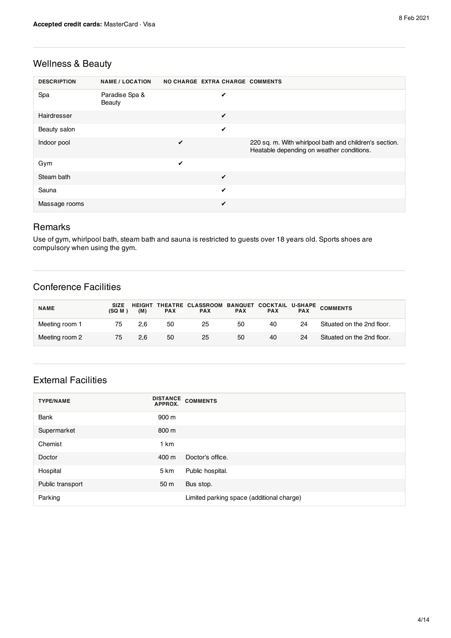#### Wellness & Beauty

| <b>DESCRIPTION</b> | <b>NAME / LOCATION</b>   | NO CHARGE EXTRA CHARGE COMMENTS |   |                                                                                                     |
|--------------------|--------------------------|---------------------------------|---|-----------------------------------------------------------------------------------------------------|
| Spa                | Paradise Spa &<br>Beauty |                                 | ✔ |                                                                                                     |
| Hairdresser        |                          |                                 | ✔ |                                                                                                     |
| Beauty salon       |                          |                                 | ✓ |                                                                                                     |
| Indoor pool        |                          | ✔                               |   | 220 sq. m. With whirlpool bath and children's section.<br>Heatable depending on weather conditions. |
| Gym                |                          | ✔                               |   |                                                                                                     |
| Steam bath         |                          |                                 | ✓ |                                                                                                     |
| Sauna              |                          |                                 | ✓ |                                                                                                     |
| Massage rooms      |                          |                                 | ✔ |                                                                                                     |

#### Remarks

Use of gym, whirlpool bath, steam bath and sauna is restricted to guests over 18 years old. Sports shoes are compulsory when using the gym.

#### Conference Facilities

| <b>NAME</b>    | <b>SIZE</b><br>(SQ M) | (M) | <b>PAX</b> | <b>PAX</b> | <b>PAX</b> | <b>PAX</b> | <b>PAX</b> | HEIGHT THEATRE CLASSROOM BANQUET COCKTAIL U-SHAPE COMMENTS |
|----------------|-----------------------|-----|------------|------------|------------|------------|------------|------------------------------------------------------------|
| Meeting room 1 | 75                    | 2.6 | 50         | 25         | 50         | 40         | 24         | Situated on the 2nd floor.                                 |
| Meeting room 2 | 75                    | 2.6 | 50         | 25         | 50         | 40         | 24         | Situated on the 2nd floor.                                 |

### External Facilities

| <b>TYPE/NAME</b> | <b>DISTANCE</b><br>APPROX. | <b>COMMENTS</b>                           |
|------------------|----------------------------|-------------------------------------------|
| Bank             | 900 m                      |                                           |
| Supermarket      | 800 m                      |                                           |
| Chemist          | 1 km                       |                                           |
| Doctor           | 400 m                      | Doctor's office.                          |
| Hospital         | 5 km                       | Public hospital.                          |
| Public transport | 50 m                       | Bus stop.                                 |
| Parking          |                            | Limited parking space (additional charge) |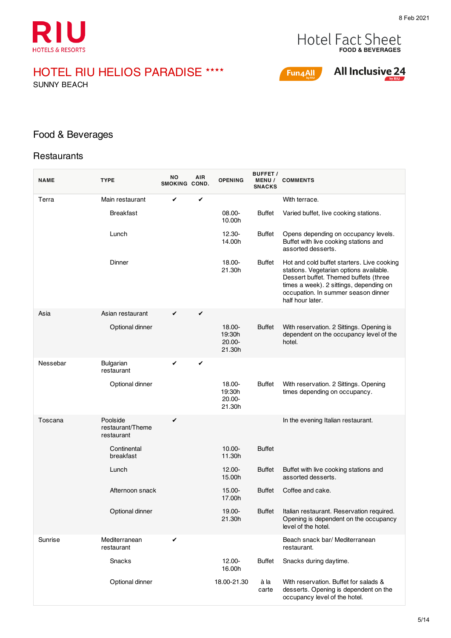

# **FOOD & BEVERAGES**

# HOTEL RIU HELIOS PARADISE ★★★★

SUNNY BEACH





#### Food & Beverages

#### **Restaurants**

 $\overline{a}$ 

| <b>NAME</b> | <b>TYPE</b>                                | ΝO<br>SMOKING COND. | AIR | <b>OPENING</b>                          | <b>BUFFET /</b><br><b>MENU/</b><br><b>SNACKS</b> | <b>COMMENTS</b>                                                                                                                                                                                                                      |
|-------------|--------------------------------------------|---------------------|-----|-----------------------------------------|--------------------------------------------------|--------------------------------------------------------------------------------------------------------------------------------------------------------------------------------------------------------------------------------------|
| Terra       | Main restaurant                            | ✔                   | ✔   |                                         |                                                  | With terrace.                                                                                                                                                                                                                        |
|             | <b>Breakfast</b>                           |                     |     | 08.00-<br>10.00h                        | Buffet                                           | Varied buffet, live cooking stations.                                                                                                                                                                                                |
|             | Lunch                                      |                     |     | 12.30-<br>14.00h                        | <b>Buffet</b>                                    | Opens depending on occupancy levels.<br>Buffet with live cooking stations and<br>assorted desserts.                                                                                                                                  |
|             | Dinner                                     |                     |     | 18.00-<br>21.30h                        | <b>Buffet</b>                                    | Hot and cold buffet starters. Live cooking<br>stations. Vegetarian options available.<br>Dessert buffet. Themed buffets (three<br>times a week). 2 sittings, depending on<br>occupation. In summer season dinner<br>half hour later. |
| Asia        | Asian restaurant                           | ✔                   | ✔   |                                         |                                                  |                                                                                                                                                                                                                                      |
|             | Optional dinner                            |                     |     | 18.00-<br>19:30h<br>$20.00 -$<br>21.30h | <b>Buffet</b>                                    | With reservation. 2 Sittings. Opening is<br>dependent on the occupancy level of the<br>hotel.                                                                                                                                        |
| Nessebar    | <b>Bulgarian</b><br>restaurant             | ✔                   | ✓   |                                         |                                                  |                                                                                                                                                                                                                                      |
|             | Optional dinner                            |                     |     | 18.00-<br>19:30h<br>$20.00 -$<br>21.30h | <b>Buffet</b>                                    | With reservation. 2 Sittings. Opening<br>times depending on occupancy.                                                                                                                                                               |
| Toscana     | Poolside<br>restaurant/Theme<br>restaurant | ✔                   |     |                                         |                                                  | In the evening Italian restaurant.                                                                                                                                                                                                   |
|             | Continental<br>breakfast                   |                     |     | $10.00 -$<br>11.30h                     | <b>Buffet</b>                                    |                                                                                                                                                                                                                                      |
|             | Lunch                                      |                     |     | $12.00 -$<br>15.00h                     | <b>Buffet</b>                                    | Buffet with live cooking stations and<br>assorted desserts.                                                                                                                                                                          |
|             | Afternoon snack                            |                     |     | 15.00-<br>17.00h                        | Buffet                                           | Coffee and cake.                                                                                                                                                                                                                     |
|             | Optional dinner                            |                     |     | 19.00-<br>21.30h                        | <b>Buffet</b>                                    | Italian restaurant. Reservation required.<br>Opening is dependent on the occupancy<br>level of the hotel.                                                                                                                            |
| Sunrise     | Mediterranean<br>restaurant                | ✔                   |     |                                         |                                                  | Beach snack bar/ Mediterranean<br>restaurant.                                                                                                                                                                                        |
|             | Snacks                                     |                     |     | 12.00-<br>16.00h                        | Buffet                                           | Snacks during daytime.                                                                                                                                                                                                               |
|             | Optional dinner                            |                     |     | 18.00-21.30                             | à la<br>carte                                    | With reservation. Buffet for salads &<br>desserts. Opening is dependent on the<br>occupancy level of the hotel.                                                                                                                      |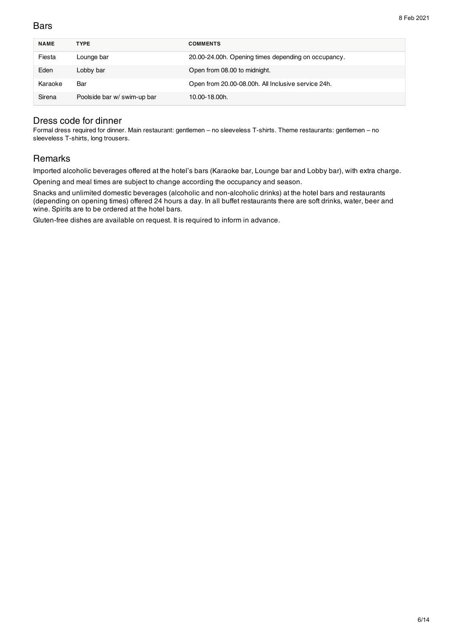#### **Bars**

| <b>NAME</b> | <b>TYPE</b>                 | <b>COMMENTS</b>                                     |
|-------------|-----------------------------|-----------------------------------------------------|
| Fiesta      | Lounge bar                  | 20.00-24.00h. Opening times depending on occupancy. |
| Eden        | Lobby bar                   | Open from 08.00 to midnight.                        |
| Karaoke     | Bar                         | Open from 20.00-08.00h. All Inclusive service 24h.  |
| Sirena      | Poolside bar w/ swim-up bar | 10.00-18.00h.                                       |

#### Dress code for dinner

Formal dress required for dinner. Main restaurant: gentlemen – no sleeveless T-shirts. Theme restaurants: gentlemen – no sleeveless T-shirts, long trousers.

#### Remarks

Imported alcoholic beverages offered at the hotel's bars (Karaoke bar, Lounge bar and Lobby bar), with extra charge.

Opening and meal times are subject to change according the occupancy and season.

Snacks and unlimited domestic beverages (alcoholic and non-alcoholic drinks) at the hotel bars and restaurants (depending on opening times) offered 24 hours a day. In all buffet restaurants there are soft drinks, water, beer and wine. Spirits are to be ordered at the hotel bars.

Gluten-free dishes are available on request. It is required to inform in advance.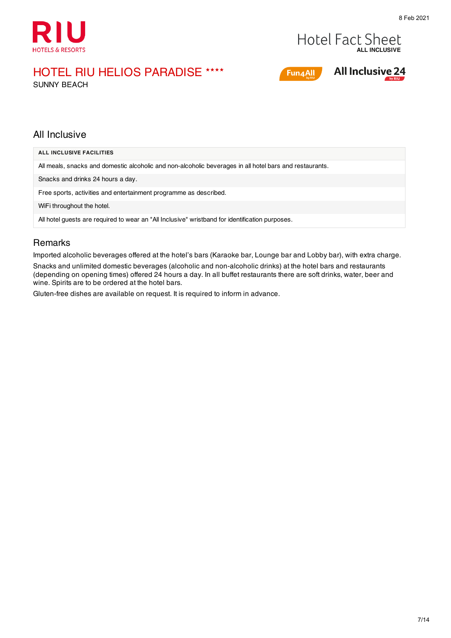



Fun4All

**All Inclusive 24** 

# HOTEL RIU HELIOS PARADISE ★★★★

SUNNY BEACH

#### All Inclusive

| ALL INCLUSIVE FACILITIES                                                                                |
|---------------------------------------------------------------------------------------------------------|
| All meals, snacks and domestic alcoholic and non-alcoholic beverages in all hotel bars and restaurants. |
| Snacks and drinks 24 hours a day.                                                                       |
| Free sports, activities and entertainment programme as described.                                       |
| WiFi throughout the hotel.                                                                              |
| All hotel guests are required to wear an "All Inclusive" wristband for identification purposes.         |

#### **Remarks**

Imported alcoholic beverages offered at the hotel's bars (Karaoke bar, Lounge bar and Lobby bar), with extra charge. Snacks and unlimited domestic beverages (alcoholic and non-alcoholic drinks) at the hotel bars and restaurants (depending on opening times) offered 24 hours a day. In all buffet restaurants there are soft drinks, water, beer and wine. Spirits are to be ordered at the hotel bars.

Gluten-free dishes are available on request. It is required to inform in advance.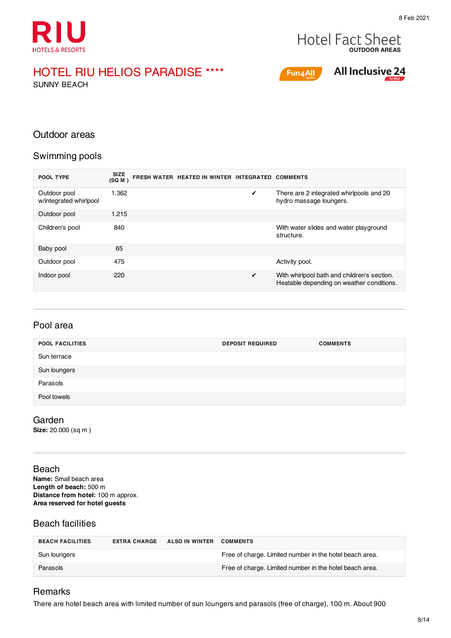



SUNNY BEACH



### **All Inclusive 24**

#### Outdoor areas

#### Swimming pools

| POOL TYPE                              | <b>SIZE</b><br>(SQ M) | FRESH WATER HEATED IN WINTER INTEGRATED COMMENTS |   |                                                                                          |
|----------------------------------------|-----------------------|--------------------------------------------------|---|------------------------------------------------------------------------------------------|
| Outdoor pool<br>w/integrated whirlpool | 1.362                 |                                                  | ✔ | There are 2 integrated whirlpools and 20<br>hydro massage loungers.                      |
| Outdoor pool                           | 1.215                 |                                                  |   |                                                                                          |
| Children's pool                        | 840                   |                                                  |   | With water slides and water playground<br>structure.                                     |
| Baby pool                              | 65                    |                                                  |   |                                                                                          |
| Outdoor pool                           | 475                   |                                                  |   | Activity pool.                                                                           |
| Indoor pool                            | 220                   |                                                  | ✔ | With whirlpool bath and children's section.<br>Heatable depending on weather conditions. |

| <b>POOL FACILITIES</b> | <b>DEPOSIT REQUIRED</b> | <b>COMMENTS</b> |
|------------------------|-------------------------|-----------------|
| Sun terrace            |                         |                 |
| Sun loungers           |                         |                 |
| Parasols               |                         |                 |
| Pool towels            |                         |                 |

Garden

**Size:** 20.000 (sq m )

Beach **Name:** Small beach area **Length of beach:** 500 m **Distance from hotel:** 100 m approx. **Area reserved for hotel guests**

#### Beach facilities

| <b>BEACH FACILITIES</b> | <b>EXTRA CHARGE</b> | ALSO IN WINTER COMMENTS |                                                         |
|-------------------------|---------------------|-------------------------|---------------------------------------------------------|
| Sun loungers            |                     |                         | Free of charge. Limited number in the hotel beach area. |
| Parasols                |                     |                         | Free of charge. Limited number in the hotel beach area. |

#### Remarks

There are hotel beach area with limited number of sun loungers and parasols (free of charge), 100 m. About 900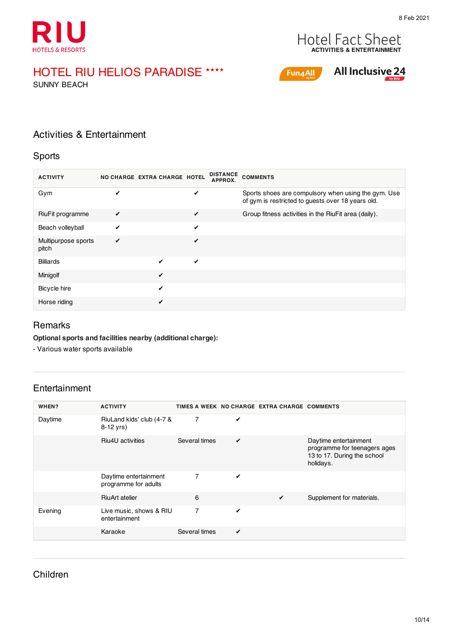



SUNNY BEACH



# All Inclusive 24

#### Activities & Entertainment

#### Sports

| <b>ACTIVITY</b>              | NO CHARGE EXTRA CHARGE HOTEL |              | <b>DISTANCE</b><br>APPROX. | <b>COMMENTS</b>                                                                                          |
|------------------------------|------------------------------|--------------|----------------------------|----------------------------------------------------------------------------------------------------------|
| Gym                          | ✔                            |              | ✔                          | Sports shoes are compulsory when using the gym. Use<br>of gym is restricted to guests over 18 years old. |
| RiuFit programme             | ✔                            |              | ✓                          | Group fitness activities in the RiuFit area (daily).                                                     |
| Beach volleyball             | ✔                            |              | ✔                          |                                                                                                          |
| Multipurpose sports<br>pitch | ✔                            |              | ✔                          |                                                                                                          |
| <b>Billiards</b>             |                              | ✔            | $\checkmark$               |                                                                                                          |
| Minigolf                     |                              | ✔            |                            |                                                                                                          |
| Bicycle hire                 |                              | $\checkmark$ |                            |                                                                                                          |
| Horse riding                 |                              | ✔            |                            |                                                                                                          |

#### Remarks

**Optional sports and facilities nearby (additional charge):**

- Various water sports available

#### Entertainment

| WHEN?   | <b>ACTIVITY</b>                               |                |              | TIMES A WEEK NO CHARGE EXTRA CHARGE COMMENTS |                                                                                                   |
|---------|-----------------------------------------------|----------------|--------------|----------------------------------------------|---------------------------------------------------------------------------------------------------|
| Daytime | RiuLand kids' club (4-7 &<br>8-12 yrs)        | $\overline{7}$ | ✓            |                                              |                                                                                                   |
|         | Riu4U activities                              | Several times  | ✔            |                                              | Daytime entertainment<br>programme for teenagers ages<br>13 to 17. During the school<br>holidays. |
|         | Daytime entertainment<br>programme for adults | $\overline{7}$ | $\checkmark$ |                                              |                                                                                                   |
|         | <b>RiuArt atelier</b>                         | 6              |              | ✔                                            | Supplement for materials.                                                                         |
| Evening | Live music, shows & RIU<br>entertainment      | $\overline{7}$ | ✔            |                                              |                                                                                                   |
|         | Karaoke                                       | Several times  | ✓            |                                              |                                                                                                   |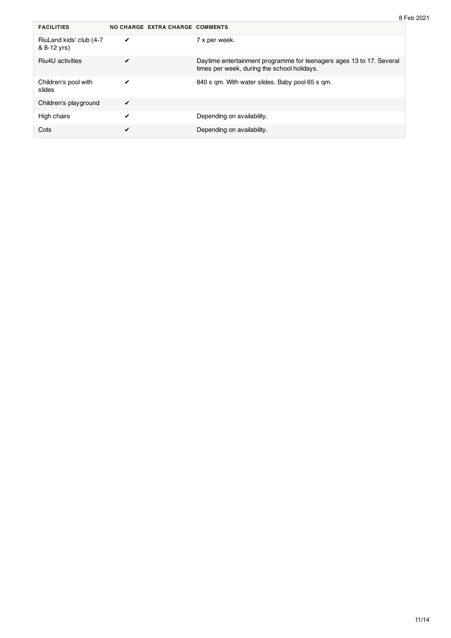| <b>FACILITIES</b>                      | NO CHARGE EXTRA CHARGE COMMENTS |                                                                                                                     |
|----------------------------------------|---------------------------------|---------------------------------------------------------------------------------------------------------------------|
| RiuLand kids' club (4-7<br>& 8-12 yrs) | ✔                               | 7 x per week.                                                                                                       |
| Riu4U activities                       | ✔                               | Daytime entertainment programme for teenagers ages 13 to 17. Several<br>times per week, during the school holidays. |
| Children's pool with<br>slides         | ✔                               | 840 s gm. With water slides. Baby pool 65 s gm.                                                                     |
| Children's playground                  | ✓                               |                                                                                                                     |
| High chairs                            | ✔                               | Depending on availability.                                                                                          |
| Cots                                   | ✔                               | Depending on availability.                                                                                          |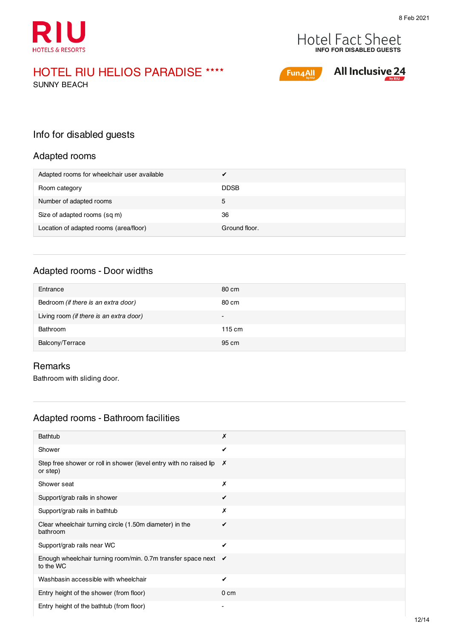



SUNNY BEACH



# **All Inclusive 24**

#### Info for disabled guests

#### Adapted rooms

| Adapted rooms for wheelchair user available |               |
|---------------------------------------------|---------------|
| Room category                               | <b>DDSB</b>   |
| Number of adapted rooms                     | 5             |
| Size of adapted rooms (sq m)                | 36            |
| Location of adapted rooms (area/floor)      | Ground floor. |

#### Adapted rooms - Door widths

| Entrance                                | 80 cm  |
|-----------------------------------------|--------|
| Bedroom (if there is an extra door)     | 80 cm  |
| Living room (if there is an extra door) | $\sim$ |
| Bathroom                                | 115 cm |
| Balcony/Terrace                         | 95 cm  |

#### Remarks

Bathroom with sliding door.

#### Adapted rooms - Bathroom facilities

| Bathtub                                                                                 | Х               |
|-----------------------------------------------------------------------------------------|-----------------|
| Shower                                                                                  | ✓               |
| Step free shower or roll in shower (level entry with no raised lip $\bm{X}$<br>or step) |                 |
| Shower seat                                                                             | Х               |
| Support/grab rails in shower                                                            | ✔               |
| Support/grab rails in bathtub                                                           | Х               |
| Clear wheelchair turning circle (1.50m diameter) in the<br>bathroom                     | ✔               |
| Support/grab rails near WC                                                              | ✔               |
| Enough wheelchair turning room/min. 0.7m transfer space next<br>to the WC               | ✔               |
| Washbasin accessible with wheelchair                                                    | ✔               |
| Entry height of the shower (from floor)                                                 | 0 <sub>cm</sub> |
| Entry height of the bathtub (from floor)                                                |                 |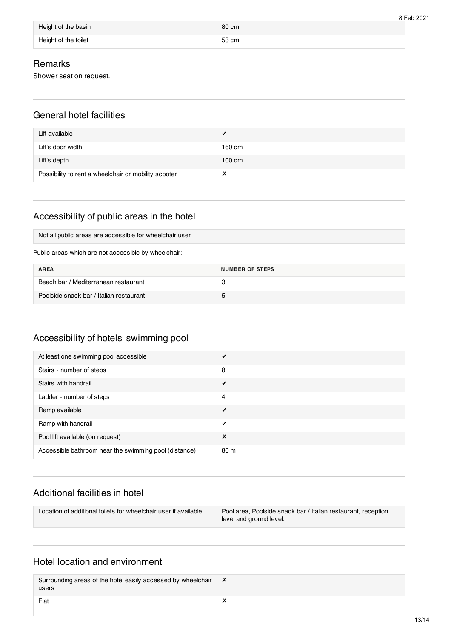| Height of the basin  | 80 cm |
|----------------------|-------|
| Height of the toilet | 53 cm |

#### Remarks

Shower seat on request.

#### General hotel facilities

| Lift available                                       | ✔                |
|------------------------------------------------------|------------------|
| Lift's door width                                    | 160 cm           |
| Lift's depth                                         | $100 \text{ cm}$ |
| Possibility to rent a wheelchair or mobility scooter |                  |

# Accessibility of public areas in the hotel

Not all public areas are accessible for wheelchair user

Public areas which are not accessible by wheelchair:

| <b>AREA</b>                             | NUMBER OF STEPS |
|-----------------------------------------|-----------------|
| Beach bar / Mediterranean restaurant    |                 |
| Poolside snack bar / Italian restaurant | 5               |

#### Accessibility of hotels' swimming pool

| At least one swimming pool accessible                 |      |
|-------------------------------------------------------|------|
| Stairs - number of steps                              | 8    |
| Stairs with handrail                                  | ✔    |
| Ladder - number of steps                              | 4    |
| Ramp available                                        | ✔    |
| Ramp with handrail                                    |      |
| Pool lift available (on request)                      | Х    |
| Accessible bathroom near the swimming pool (distance) | 80 m |

#### Additional facilities in hotel

Location of additional toilets for wheelchair user if available Pool area, Poolside snack bar / Italian restaurant, reception level and ground level.

#### Hotel location and environment

Surrounding areas of the hotel easily accessed by wheelchair users ✗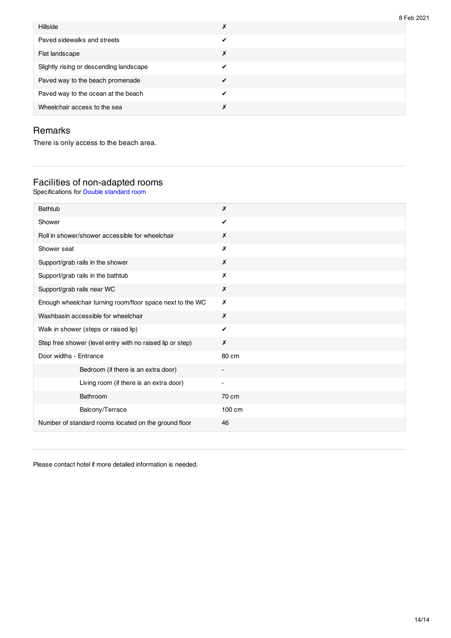| <b>Hillside</b>                         | ັບ ເ<br>Х |
|-----------------------------------------|-----------|
| Paved sidewalks and streets             |           |
| Flat landscape                          | X         |
| Slightly rising or descending landscape |           |
| Paved way to the beach promenade        |           |
| Paved way to the ocean at the beach     |           |
| Wheelchair access to the sea            |           |

#### Remarks

There is only access to the beach area.

#### Facilities of non-adapted rooms

Specifications for Double standard room

| X                        |
|--------------------------|
| ✔                        |
| Х                        |
| х                        |
| X                        |
| X                        |
| X                        |
| X                        |
| X                        |
| ✓                        |
| X                        |
| 80 cm                    |
|                          |
| $\overline{\phantom{a}}$ |
| 70 cm                    |
| 100 cm                   |
| 46                       |
|                          |

Please contact hotel if more detailed information is needed.